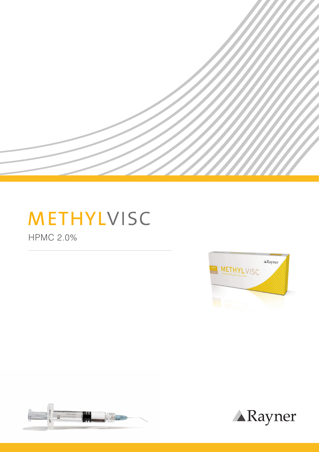

HPMC 2.0%